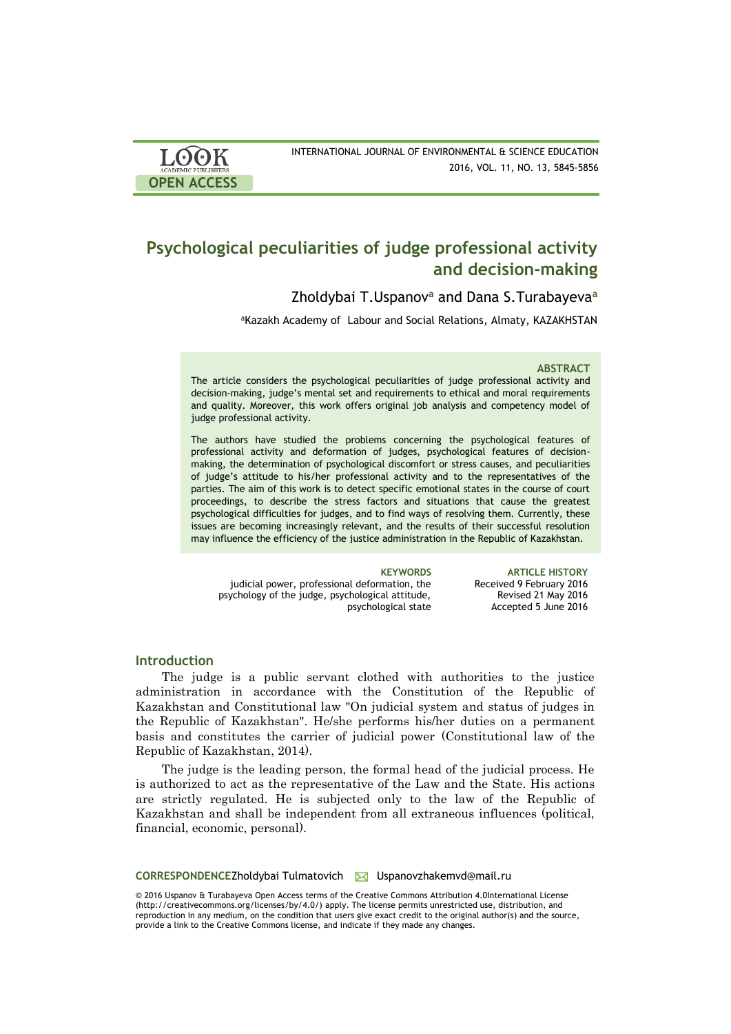| <b>LOOK</b>                | INTERNATIONAL JOURNAL OF ENVIRONMENTAL & SCIENCE EDUCATION |
|----------------------------|------------------------------------------------------------|
| <b>ACADEMIC PUBLISHERS</b> | 2016, VOL. 11, NO. 13, 5845-5856                           |
| <b>OPEN ACCESS</b>         |                                                            |

# **Psychological peculiarities of judge professional activity and decision-making**

Zholdybai T.Uspanov **<sup>a</sup>** and Dana S.Turabayeva**<sup>a</sup>**

aKazakh Academy of Labour and Social Relations, Almaty, KAZAKHSTAN

### **ABSTRACT**

The article considers the psychological peculiarities of judge professional activity and decision-making, judge's mental set and requirements to ethical and moral requirements and quality. Moreover, this work offers original job analysis and competency model of judge professional activity.

The authors have studied the problems concerning the psychological features of professional activity and deformation of judges, psychological features of decisionmaking, the determination of psychological discomfort or stress causes, and peculiarities of judge's attitude to his/her professional activity and to the representatives of the parties. The aim of this work is to detect specific emotional states in the course of court proceedings, to describe the stress factors and situations that cause the greatest psychological difficulties for judges, and to find ways of resolving them. Currently, these issues are becoming increasingly relevant, and the results of their successful resolution may influence the efficiency of the justice administration in the Republic of Kazakhstan.

judicial power, professional deformation, the psychology of the judge, psychological attitude, psychological state

**KEYWORDS ARTICLE HISTORY** Received 9 February 2016 Revised 21 May 2016 Accepted 5 June 2016

## **Introduction**

The judge is a public servant clothed with authorities to the justice administration in accordance with the Constitution of the Republic of Kazakhstan and Constitutional law "On judicial system and status of judges in the Republic of Kazakhstan". He/she performs his/her duties on a permanent basis and constitutes the carrier of judicial power (Constitutional law of the Republic of Kazakhstan, 2014).

The judge is the leading person, the formal head of the judicial process. He is authorized to act as the representative of the Law and the State. His actions are strictly regulated. He is subjected only to the law of the Republic of Kazakhstan and shall be independent from all extraneous influences (political, financial, economic, personal).

CORRESPONDENCEZholdybai Tulmatovich **M** Uspanovzhakemvd@mail.ru

© 2016 Uspanov & Turabayeva Open Access terms of the Creative Commons Attribution 4.0International License (http://creativecommons.org/licenses/by/4.0/) apply. The license permits unrestricted use, distribution, and reproduction in any medium, on the condition that users give exact credit to the original author(s) and the source, provide a link to the Creative Commons license, and indicate if they made any changes.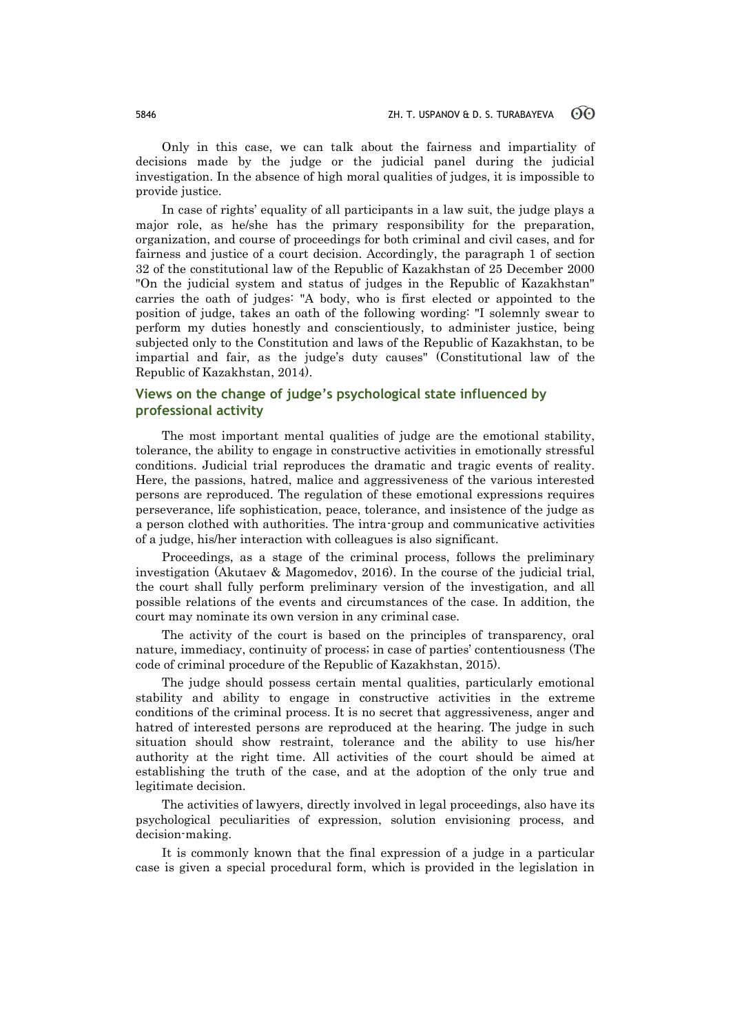Only in this case, we can talk about the fairness and impartiality of decisions made by the judge or the judicial panel during the judicial investigation. In the absence of high moral qualities of judges, it is impossible to provide justice.

In case of rights' equality of all participants in a law suit, the judge plays a major role, as he/she has the primary responsibility for the preparation, organization, and course of proceedings for both criminal and civil cases, and for fairness and justice of a court decision. Accordingly, the paragraph 1 of section 32 of the constitutional law of the Republic of Kazakhstan of 25 December 2000 "On the judicial system and status of judges in the Republic of Kazakhstan" carries the oath of judges: "A body, who is first elected or appointed to the position of judge, takes an oath of the following wording: "I solemnly swear to perform my duties honestly and conscientiously, to administer justice, being subjected only to the Constitution and laws of the Republic of Kazakhstan, to be impartial and fair, as the judge's duty causes" (Constitutional law of the Republic of Kazakhstan, 2014).

## **Views on the change of judge's psychological state influenced by professional activity**

The most important mental qualities of judge are the emotional stability, tolerance, the ability to engage in constructive activities in emotionally stressful conditions. Judicial trial reproduces the dramatic and tragic events of reality. Here, the passions, hatred, malice and aggressiveness of the various interested persons are reproduced. The regulation of these emotional expressions requires perseverance, life sophistication, peace, tolerance, and insistence of the judge as a person clothed with authorities. The intra-group and communicative activities of a judge, his/her interaction with colleagues is also significant.

Proceedings, as a stage of the criminal process, follows the preliminary investigation (Akutaev & Magomedov, 2016). In the course of the judicial trial, the court shall fully perform preliminary version of the investigation, and all possible relations of the events and circumstances of the case. In addition, the court may nominate its own version in any criminal case.

The activity of the court is based on the principles of transparency, oral nature, immediacy, continuity of process; in case of parties' contentiousness (The code of criminal procedure of the Republic of Kazakhstan, 2015).

The judge should possess certain mental qualities, particularly emotional stability and ability to engage in constructive activities in the extreme conditions of the criminal process. It is no secret that aggressiveness, anger and hatred of interested persons are reproduced at the hearing. The judge in such situation should show restraint, tolerance and the ability to use his/her authority at the right time. All activities of the court should be aimed at establishing the truth of the case, and at the adoption of the only true and legitimate decision.

The activities of lawyers, directly involved in legal proceedings, also have its psychological peculiarities of expression, solution envisioning process, and decision-making.

It is commonly known that the final expression of a judge in a particular case is given a special procedural form, which is provided in the legislation in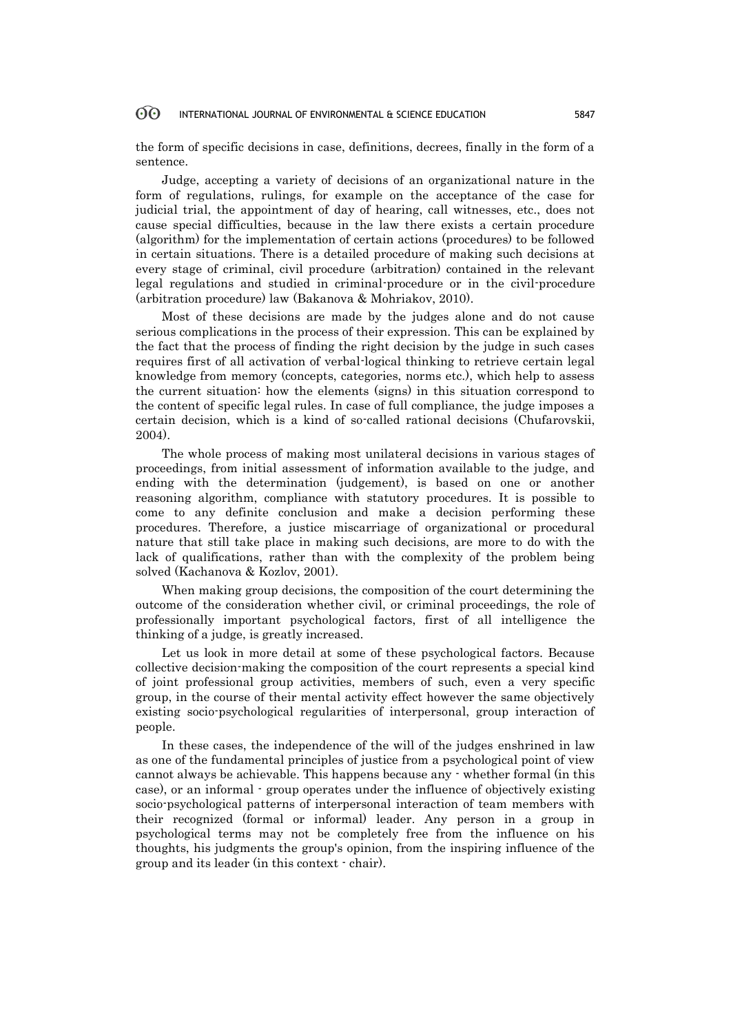the form of specific decisions in case, definitions, decrees, finally in the form of a sentence.

Judge, accepting a variety of decisions of an organizational nature in the form of regulations, rulings, for example on the acceptance of the case for judicial trial, the appointment of day of hearing, call witnesses, etc., does not cause special difficulties, because in the law there exists a certain procedure (algorithm) for the implementation of certain actions (procedures) to be followed in certain situations. There is a detailed procedure of making such decisions at every stage of criminal, civil procedure (arbitration) contained in the relevant legal regulations and studied in criminal-procedure or in the civil-procedure (arbitration procedure) law (Bakanova & Mohriakov, 2010).

Most of these decisions are made by the judges alone and do not cause serious complications in the process of their expression. This can be explained by the fact that the process of finding the right decision by the judge in such cases requires first of all activation of verbal-logical thinking to retrieve certain legal knowledge from memory (concepts, categories, norms etc.), which help to assess the current situation: how the elements (signs) in this situation correspond to the content of specific legal rules. In case of full compliance, the judge imposes a certain decision, which is a kind of so-called rational decisions (Chufarovskii, 2004).

The whole process of making most unilateral decisions in various stages of proceedings, from initial assessment of information available to the judge, and ending with the determination (judgement), is based on one or another reasoning algorithm, compliance with statutory procedures. It is possible to come to any definite conclusion and make a decision performing these procedures. Therefore, a justice miscarriage of organizational or procedural nature that still take place in making such decisions, are more to do with the lack of qualifications, rather than with the complexity of the problem being solved (Kachanova & Kozlov, 2001).

When making group decisions, the composition of the court determining the outcome of the consideration whether civil, or criminal proceedings, the role of professionally important psychological factors, first of all intelligence the thinking of a judge, is greatly increased.

Let us look in more detail at some of these psychological factors. Because collective decision-making the composition of the court represents a special kind of joint professional group activities, members of such, even a very specific group, in the course of their mental activity effect however the same objectively existing socio-psychological regularities of interpersonal, group interaction of people.

In these cases, the independence of the will of the judges enshrined in law as one of the fundamental principles of justice from a psychological point of view cannot always be achievable. This happens because any - whether formal (in this case), or an informal - group operates under the influence of objectively existing socio-psychological patterns of interpersonal interaction of team members with their recognized (formal or informal) leader. Any person in a group in psychological terms may not be completely free from the influence on his thoughts, his judgments the group's opinion, from the inspiring influence of the group and its leader (in this context - chair).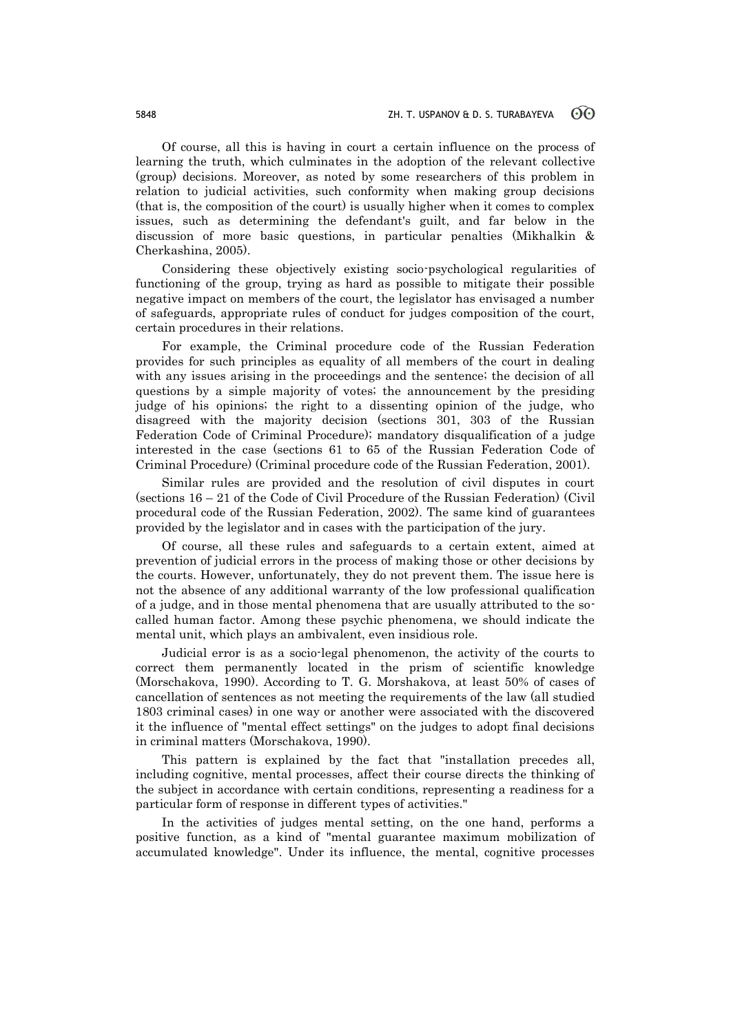Of course, all this is having in court a certain influence on the process of learning the truth, which culminates in the adoption of the relevant collective (group) decisions. Moreover, as noted by some researchers of this problem in relation to judicial activities, such conformity when making group decisions (that is, the composition of the court) is usually higher when it comes to complex issues, such as determining the defendant's guilt, and far below in the discussion of more basic questions, in particular penalties (Mikhalkin & Cherkashina, 2005).

Considering these objectively existing socio-psychological regularities of functioning of the group, trying as hard as possible to mitigate their possible negative impact on members of the court, the legislator has envisaged a number of safeguards, appropriate rules of conduct for judges composition of the court, certain procedures in their relations.

For example, the Criminal procedure code of the Russian Federation provides for such principles as equality of all members of the court in dealing with any issues arising in the proceedings and the sentence; the decision of all questions by a simple majority of votes; the announcement by the presiding judge of his opinions; the right to a dissenting opinion of the judge, who disagreed with the majority decision (sections 301, 303 of the Russian Federation Code of Criminal Procedure); mandatory disqualification of a judge interested in the case (sections 61 to 65 of the Russian Federation Code of Criminal Procedure) (Criminal procedure code of the Russian Federation, 2001).

Similar rules are provided and the resolution of civil disputes in court (sections 16 – 21 of the Code of Civil Procedure of the Russian Federation) (Civil procedural code of the Russian Federation, 2002). The same kind of guarantees provided by the legislator and in cases with the participation of the jury.

Of course, all these rules and safeguards to a certain extent, aimed at prevention of judicial errors in the process of making those or other decisions by the courts. However, unfortunately, they do not prevent them. The issue here is not the absence of any additional warranty of the low professional qualification of a judge, and in those mental phenomena that are usually attributed to the socalled human factor. Among these psychic phenomena, we should indicate the mental unit, which plays an ambivalent, even insidious role.

Judicial error is as a socio-legal phenomenon, the activity of the courts to correct them permanently located in the prism of scientific knowledge (Morschakova, 1990). According to T. G. Morshakova, at least 50% of cases of cancellation of sentences as not meeting the requirements of the law (all studied 1803 criminal cases) in one way or another were associated with the discovered it the influence of "mental effect settings" on the judges to adopt final decisions in criminal matters (Morschakova, 1990).

This pattern is explained by the fact that "installation precedes all, including cognitive, mental processes, affect their course directs the thinking of the subject in accordance with certain conditions, representing a readiness for a particular form of response in different types of activities."

In the activities of judges mental setting, on the one hand, performs a positive function, as a kind of "mental guarantee maximum mobilization of accumulated knowledge". Under its influence, the mental, cognitive processes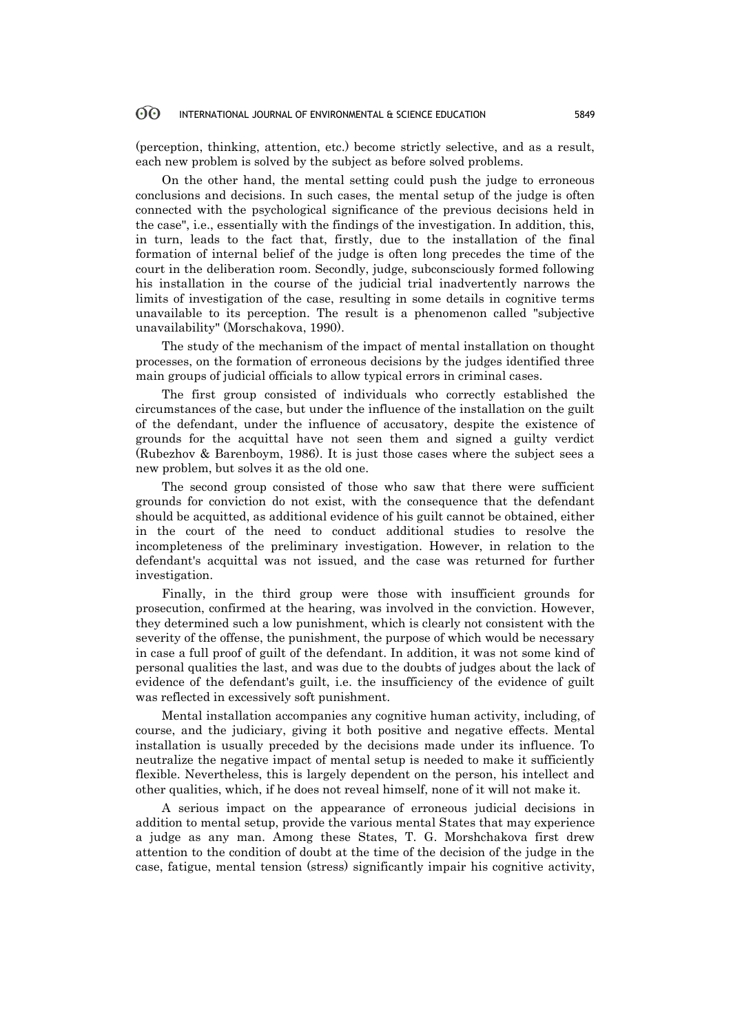(perception, thinking, attention, etc.) become strictly selective, and as a result, each new problem is solved by the subject as before solved problems.

On the other hand, the mental setting could push the judge to erroneous conclusions and decisions. In such cases, the mental setup of the judge is often connected with the psychological significance of the previous decisions held in the case", i.e., essentially with the findings of the investigation. In addition, this, in turn, leads to the fact that, firstly, due to the installation of the final formation of internal belief of the judge is often long precedes the time of the court in the deliberation room. Secondly, judge, subconsciously formed following his installation in the course of the judicial trial inadvertently narrows the limits of investigation of the case, resulting in some details in cognitive terms unavailable to its perception. The result is a phenomenon called "subjective unavailability" (Morschakova, 1990).

The study of the mechanism of the impact of mental installation on thought processes, on the formation of erroneous decisions by the judges identified three main groups of judicial officials to allow typical errors in criminal cases.

The first group consisted of individuals who correctly established the circumstances of the case, but under the influence of the installation on the guilt of the defendant, under the influence of accusatory, despite the existence of grounds for the acquittal have not seen them and signed a guilty verdict (Rubezhov & Barenboym, 1986). It is just those cases where the subject sees a new problem, but solves it as the old one.

The second group consisted of those who saw that there were sufficient grounds for conviction do not exist, with the consequence that the defendant should be acquitted, as additional evidence of his guilt cannot be obtained, either in the court of the need to conduct additional studies to resolve the incompleteness of the preliminary investigation. However, in relation to the defendant's acquittal was not issued, and the case was returned for further investigation.

Finally, in the third group were those with insufficient grounds for prosecution, confirmed at the hearing, was involved in the conviction. However, they determined such a low punishment, which is clearly not consistent with the severity of the offense, the punishment, the purpose of which would be necessary in case a full proof of guilt of the defendant. In addition, it was not some kind of personal qualities the last, and was due to the doubts of judges about the lack of evidence of the defendant's guilt, i.e. the insufficiency of the evidence of guilt was reflected in excessively soft punishment.

Mental installation accompanies any cognitive human activity, including, of course, and the judiciary, giving it both positive and negative effects. Mental installation is usually preceded by the decisions made under its influence. To neutralize the negative impact of mental setup is needed to make it sufficiently flexible. Nevertheless, this is largely dependent on the person, his intellect and other qualities, which, if he does not reveal himself, none of it will not make it.

A serious impact on the appearance of erroneous judicial decisions in addition to mental setup, provide the various mental States that may experience a judge as any man. Among these States, T. G. Morshchakova first drew attention to the condition of doubt at the time of the decision of the judge in the case, fatigue, mental tension (stress) significantly impair his cognitive activity,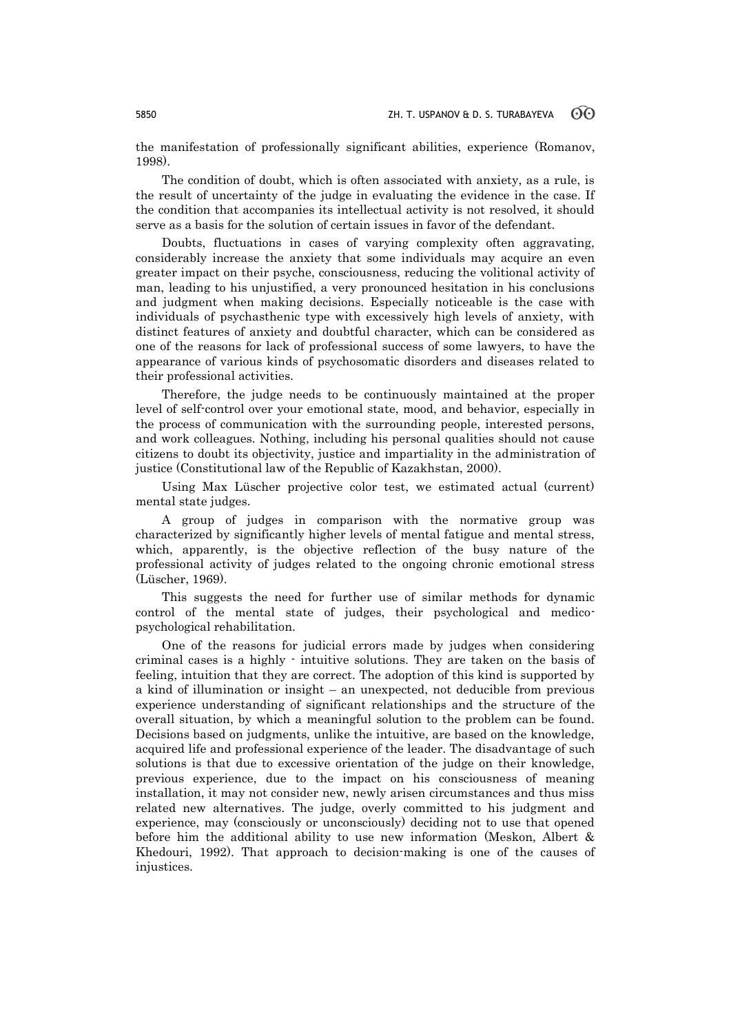the manifestation of professionally significant abilities, experience (Romanov, 1998).

The condition of doubt, which is often associated with anxiety, as a rule, is the result of uncertainty of the judge in evaluating the evidence in the case. If the condition that accompanies its intellectual activity is not resolved, it should serve as a basis for the solution of certain issues in favor of the defendant.

Doubts, fluctuations in cases of varying complexity often aggravating, considerably increase the anxiety that some individuals may acquire an even greater impact on their psyche, consciousness, reducing the volitional activity of man, leading to his unjustified, a very pronounced hesitation in his conclusions and judgment when making decisions. Especially noticeable is the case with individuals of psychasthenic type with excessively high levels of anxiety, with distinct features of anxiety and doubtful character, which can be considered as one of the reasons for lack of professional success of some lawyers, to have the appearance of various kinds of psychosomatic disorders and diseases related to their professional activities.

Therefore, the judge needs to be continuously maintained at the proper level of self-control over your emotional state, mood, and behavior, especially in the process of communication with the surrounding people, interested persons, and work colleagues. Nothing, including his personal qualities should not cause citizens to doubt its objectivity, justice and impartiality in the administration of justice (Constitutional law of the Republic of Kazakhstan, 2000).

Using Max Lüscher projective color test, we estimated actual (current) mental state judges.

A group of judges in comparison with the normative group was characterized by significantly higher levels of mental fatigue and mental stress, which, apparently, is the objective reflection of the busy nature of the professional activity of judges related to the ongoing chronic emotional stress (Lüscher, 1969).

This suggests the need for further use of similar methods for dynamic control of the mental state of judges, their psychological and medicopsychological rehabilitation.

One of the reasons for judicial errors made by judges when considering criminal cases is a highly - intuitive solutions. They are taken on the basis of feeling, intuition that they are correct. The adoption of this kind is supported by a kind of illumination or insight – an unexpected, not deducible from previous experience understanding of significant relationships and the structure of the overall situation, by which a meaningful solution to the problem can be found. Decisions based on judgments, unlike the intuitive, are based on the knowledge, acquired life and professional experience of the leader. The disadvantage of such solutions is that due to excessive orientation of the judge on their knowledge, previous experience, due to the impact on his consciousness of meaning installation, it may not consider new, newly arisen circumstances and thus miss related new alternatives. The judge, overly committed to his judgment and experience, may (consciously or unconsciously) deciding not to use that opened before him the additional ability to use new information (Meskon, Albert & Khedouri, 1992). That approach to decision-making is one of the causes of injustices.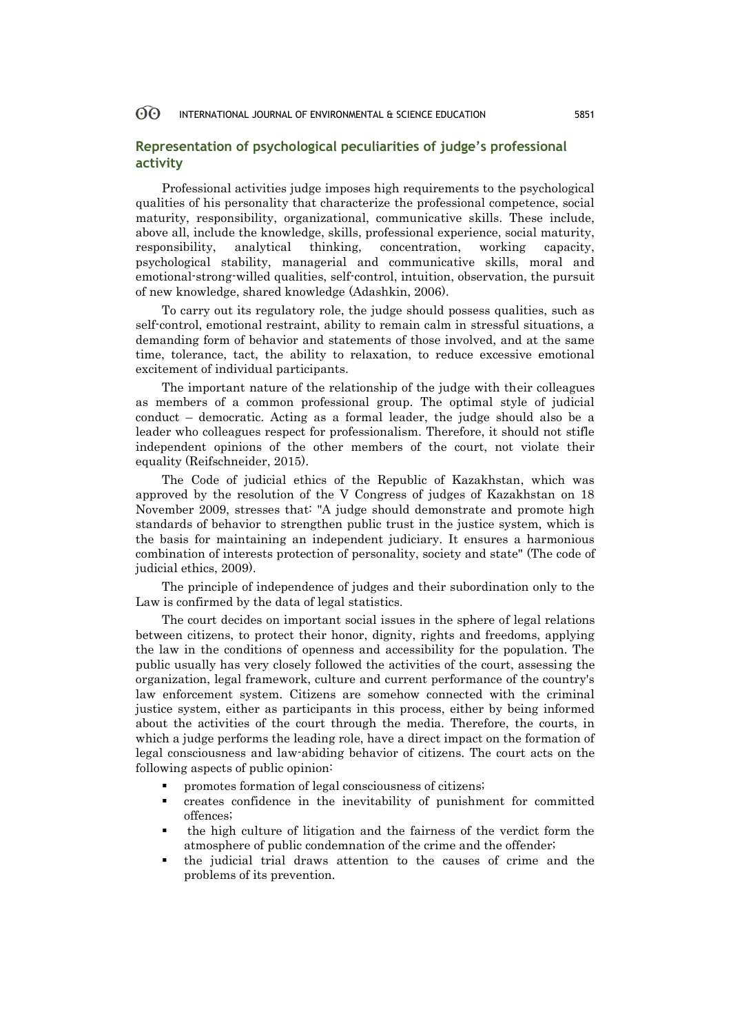## **Representation of psychological peculiarities of judge's professional activity**

Professional activities judge imposes high requirements to the psychological qualities of his personality that characterize the professional competence, social maturity, responsibility, organizational, communicative skills. These include, above all, include the knowledge, skills, professional experience, social maturity, responsibility, analytical thinking, concentration, working capacity, psychological stability, managerial and communicative skills, moral and emotional-strong-willed qualities, self-control, intuition, observation, the pursuit of new knowledge, shared knowledge (Adashkin, 2006).

To carry out its regulatory role, the judge should possess qualities, such as self-control, emotional restraint, ability to remain calm in stressful situations, a demanding form of behavior and statements of those involved, and at the same time, tolerance, tact, the ability to relaxation, to reduce excessive emotional excitement of individual participants.

The important nature of the relationship of the judge with their colleagues as members of a common professional group. The optimal style of judicial conduct – democratic. Acting as a formal leader, the judge should also be a leader who colleagues respect for professionalism. Therefore, it should not stifle independent opinions of the other members of the court, not violate their equality (Reifschneider, 2015).

The Code of judicial ethics of the Republic of Kazakhstan, which was approved by the resolution of the V Congress of judges of Kazakhstan on 18 November 2009, stresses that: "A judge should demonstrate and promote high standards of behavior to strengthen public trust in the justice system, which is the basis for maintaining an independent judiciary. It ensures a harmonious combination of interests protection of personality, society and state" (The code of judicial ethics, 2009).

The principle of independence of judges and their subordination only to the Law is confirmed by the data of legal statistics.

The court decides on important social issues in the sphere of legal relations between citizens, to protect their honor, dignity, rights and freedoms, applying the law in the conditions of openness and accessibility for the population. The public usually has very closely followed the activities of the court, assessing the organization, legal framework, culture and current performance of the country's law enforcement system. Citizens are somehow connected with the criminal justice system, either as participants in this process, either by being informed about the activities of the court through the media. Therefore, the courts, in which a judge performs the leading role, have a direct impact on the formation of legal consciousness and law-abiding behavior of citizens. The court acts on the following aspects of public opinion:

- promotes formation of legal consciousness of citizens;
- creates confidence in the inevitability of punishment for committed offences;
- the high culture of litigation and the fairness of the verdict form the atmosphere of public condemnation of the crime and the offender;
- the judicial trial draws attention to the causes of crime and the problems of its prevention.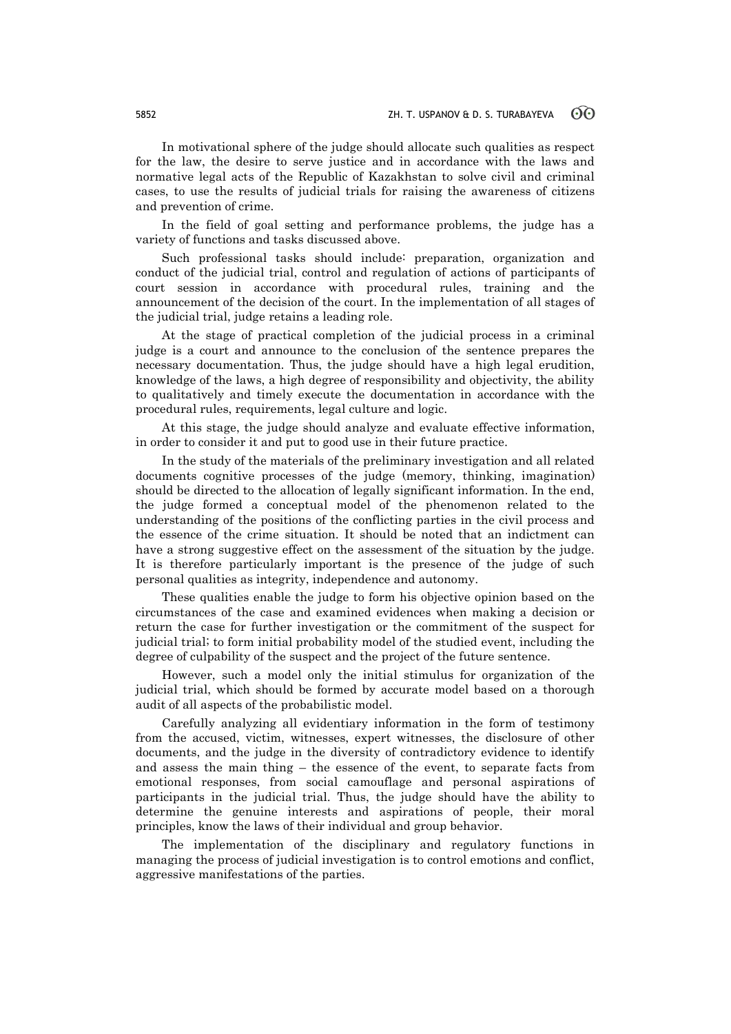In motivational sphere of the judge should allocate such qualities as respect for the law, the desire to serve justice and in accordance with the laws and normative legal acts of the Republic of Kazakhstan to solve civil and criminal cases, to use the results of judicial trials for raising the awareness of citizens and prevention of crime.

In the field of goal setting and performance problems, the judge has a variety of functions and tasks discussed above.

Such professional tasks should include: preparation, organization and conduct of the judicial trial, control and regulation of actions of participants of court session in accordance with procedural rules, training and the announcement of the decision of the court. In the implementation of all stages of the judicial trial, judge retains a leading role.

At the stage of practical completion of the judicial process in a criminal judge is a court and announce to the conclusion of the sentence prepares the necessary documentation. Thus, the judge should have a high legal erudition, knowledge of the laws, a high degree of responsibility and objectivity, the ability to qualitatively and timely execute the documentation in accordance with the procedural rules, requirements, legal culture and logic.

At this stage, the judge should analyze and evaluate effective information, in order to consider it and put to good use in their future practice.

In the study of the materials of the preliminary investigation and all related documents cognitive processes of the judge (memory, thinking, imagination) should be directed to the allocation of legally significant information. In the end, the judge formed a conceptual model of the phenomenon related to the understanding of the positions of the conflicting parties in the civil process and the essence of the crime situation. It should be noted that an indictment can have a strong suggestive effect on the assessment of the situation by the judge. It is therefore particularly important is the presence of the judge of such personal qualities as integrity, independence and autonomy.

These qualities enable the judge to form his objective opinion based on the circumstances of the case and examined evidences when making a decision or return the case for further investigation or the commitment of the suspect for judicial trial; to form initial probability model of the studied event, including the degree of culpability of the suspect and the project of the future sentence.

However, such a model only the initial stimulus for organization of the judicial trial, which should be formed by accurate model based on a thorough audit of all aspects of the probabilistic model.

Carefully analyzing all evidentiary information in the form of testimony from the accused, victim, witnesses, expert witnesses, the disclosure of other documents, and the judge in the diversity of contradictory evidence to identify and assess the main thing – the essence of the event, to separate facts from emotional responses, from social camouflage and personal aspirations of participants in the judicial trial. Thus, the judge should have the ability to determine the genuine interests and aspirations of people, their moral principles, know the laws of their individual and group behavior.

The implementation of the disciplinary and regulatory functions in managing the process of judicial investigation is to control emotions and conflict, aggressive manifestations of the parties.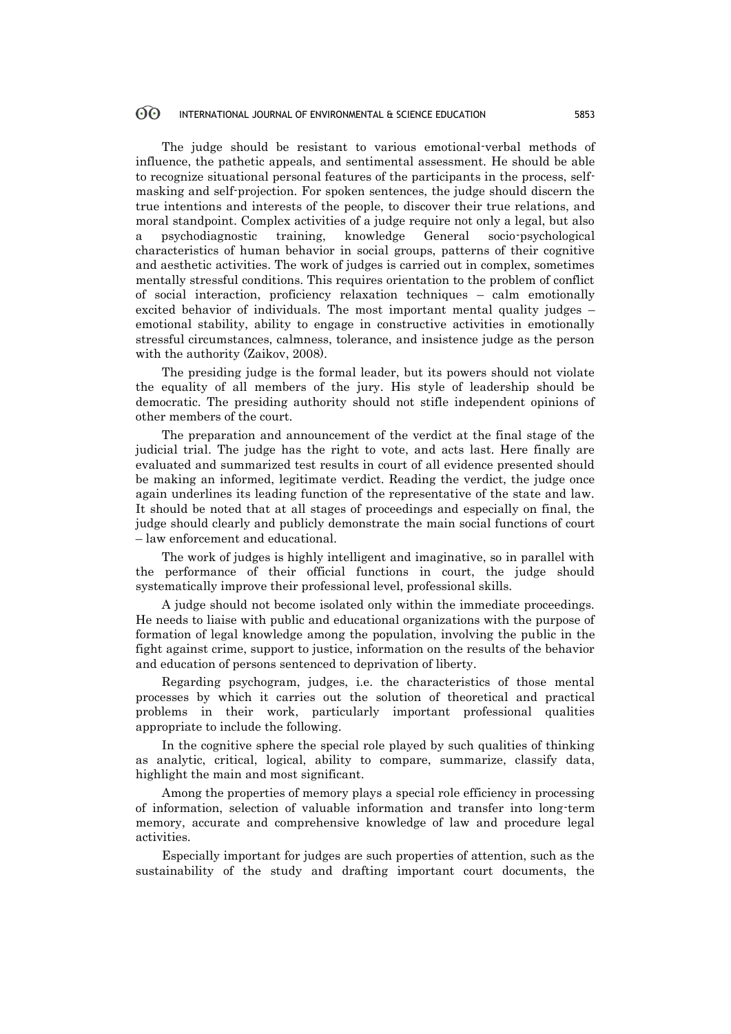The judge should be resistant to various emotional-verbal methods of influence, the pathetic appeals, and sentimental assessment. He should be able to recognize situational personal features of the participants in the process, selfmasking and self-projection. For spoken sentences, the judge should discern the true intentions and interests of the people, to discover their true relations, and moral standpoint. Complex activities of a judge require not only a legal, but also a psychodiagnostic training, knowledge General socio-psychological characteristics of human behavior in social groups, patterns of their cognitive and aesthetic activities. The work of judges is carried out in complex, sometimes mentally stressful conditions. This requires orientation to the problem of conflict of social interaction, proficiency relaxation techniques – calm emotionally excited behavior of individuals. The most important mental quality judges – emotional stability, ability to engage in constructive activities in emotionally stressful circumstances, calmness, tolerance, and insistence judge as the person with the authority (Zaikov, 2008).

The presiding judge is the formal leader, but its powers should not violate the equality of all members of the jury. His style of leadership should be democratic. The presiding authority should not stifle independent opinions of other members of the court.

The preparation and announcement of the verdict at the final stage of the judicial trial. The judge has the right to vote, and acts last. Here finally are evaluated and summarized test results in court of all evidence presented should be making an informed, legitimate verdict. Reading the verdict, the judge once again underlines its leading function of the representative of the state and law. It should be noted that at all stages of proceedings and especially on final, the judge should clearly and publicly demonstrate the main social functions of court – law enforcement and educational.

The work of judges is highly intelligent and imaginative, so in parallel with the performance of their official functions in court, the judge should systematically improve their professional level, professional skills.

A judge should not become isolated only within the immediate proceedings. He needs to liaise with public and educational organizations with the purpose of formation of legal knowledge among the population, involving the public in the fight against crime, support to justice, information on the results of the behavior and education of persons sentenced to deprivation of liberty.

Regarding psychogram, judges, i.e. the characteristics of those mental processes by which it carries out the solution of theoretical and practical problems in their work, particularly important professional qualities appropriate to include the following.

In the cognitive sphere the special role played by such qualities of thinking as analytic, critical, logical, ability to compare, summarize, classify data, highlight the main and most significant.

Among the properties of memory plays a special role efficiency in processing of information, selection of valuable information and transfer into long-term memory, accurate and comprehensive knowledge of law and procedure legal activities.

Especially important for judges are such properties of attention, such as the sustainability of the study and drafting important court documents, the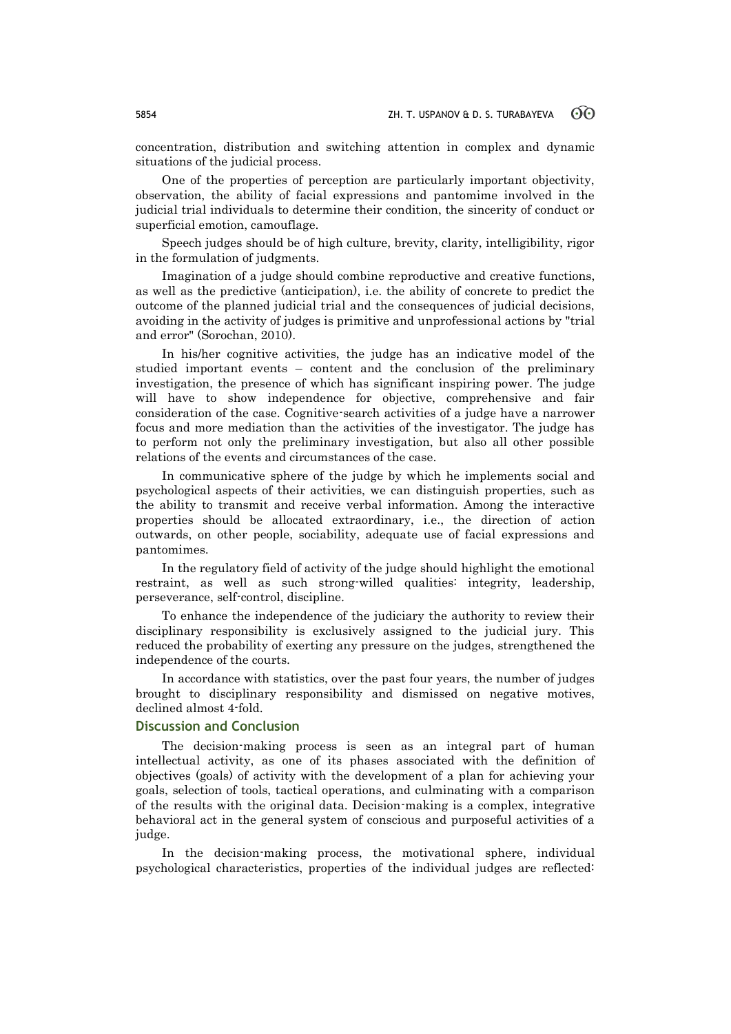concentration, distribution and switching attention in complex and dynamic situations of the judicial process.

One of the properties of perception are particularly important objectivity, observation, the ability of facial expressions and pantomime involved in the judicial trial individuals to determine their condition, the sincerity of conduct or superficial emotion, camouflage.

Speech judges should be of high culture, brevity, clarity, intelligibility, rigor in the formulation of judgments.

Imagination of a judge should combine reproductive and creative functions, as well as the predictive (anticipation), i.e. the ability of concrete to predict the outcome of the planned judicial trial and the consequences of judicial decisions, avoiding in the activity of judges is primitive and unprofessional actions by "trial and error" (Sorochan, 2010).

In his/her cognitive activities, the judge has an indicative model of the studied important events – content and the conclusion of the preliminary investigation, the presence of which has significant inspiring power. The judge will have to show independence for objective, comprehensive and fair consideration of the case. Cognitive-search activities of a judge have a narrower focus and more mediation than the activities of the investigator. The judge has to perform not only the preliminary investigation, but also all other possible relations of the events and circumstances of the case.

In communicative sphere of the judge by which he implements social and psychological aspects of their activities, we can distinguish properties, such as the ability to transmit and receive verbal information. Among the interactive properties should be allocated extraordinary, i.e., the direction of action outwards, on other people, sociability, adequate use of facial expressions and pantomimes.

In the regulatory field of activity of the judge should highlight the emotional restraint, as well as such strong-willed qualities: integrity, leadership, perseverance, self-control, discipline.

To enhance the independence of the judiciary the authority to review their disciplinary responsibility is exclusively assigned to the judicial jury. This reduced the probability of exerting any pressure on the judges, strengthened the independence of the courts.

In accordance with statistics, over the past four years, the number of judges brought to disciplinary responsibility and dismissed on negative motives, declined almost 4-fold.

## **Discussion and Conclusion**

The decision-making process is seen as an integral part of human intellectual activity, as one of its phases associated with the definition of objectives (goals) of activity with the development of a plan for achieving your goals, selection of tools, tactical operations, and culminating with a comparison of the results with the original data. Decision-making is a complex, integrative behavioral act in the general system of conscious and purposeful activities of a judge.

In the decision-making process, the motivational sphere, individual psychological characteristics, properties of the individual judges are reflected: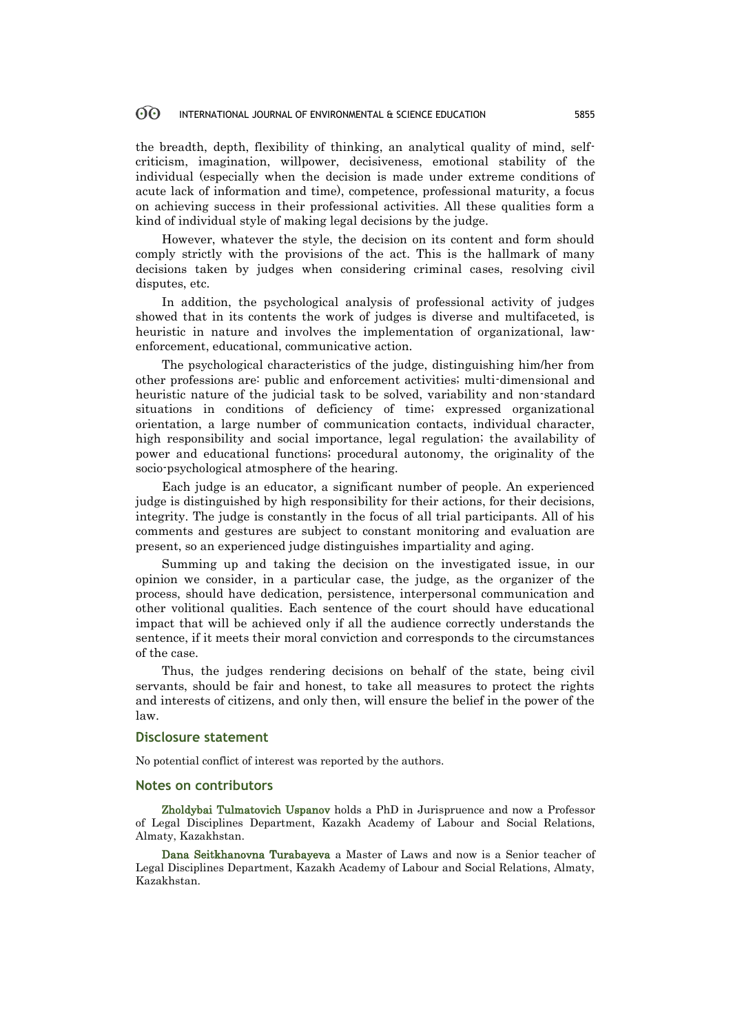the breadth, depth, flexibility of thinking, an analytical quality of mind, selfcriticism, imagination, willpower, decisiveness, emotional stability of the individual (especially when the decision is made under extreme conditions of acute lack of information and time), competence, professional maturity, a focus on achieving success in their professional activities. All these qualities form a kind of individual style of making legal decisions by the judge.

However, whatever the style, the decision on its content and form should comply strictly with the provisions of the act. This is the hallmark of many decisions taken by judges when considering criminal cases, resolving civil disputes, etc.

In addition, the psychological analysis of professional activity of judges showed that in its contents the work of judges is diverse and multifaceted, is heuristic in nature and involves the implementation of organizational, lawenforcement, educational, communicative action.

The psychological characteristics of the judge, distinguishing him/her from other professions are: public and enforcement activities; multi-dimensional and heuristic nature of the judicial task to be solved, variability and non-standard situations in conditions of deficiency of time; expressed organizational orientation, a large number of communication contacts, individual character, high responsibility and social importance, legal regulation; the availability of power and educational functions; procedural autonomy, the originality of the socio-psychological atmosphere of the hearing.

Each judge is an educator, a significant number of people. An experienced judge is distinguished by high responsibility for their actions, for their decisions, integrity. The judge is constantly in the focus of all trial participants. All of his comments and gestures are subject to constant monitoring and evaluation are present, so an experienced judge distinguishes impartiality and aging.

Summing up and taking the decision on the investigated issue, in our opinion we consider, in a particular case, the judge, as the organizer of the process, should have dedication, persistence, interpersonal communication and other volitional qualities. Each sentence of the court should have educational impact that will be achieved only if all the audience correctly understands the sentence, if it meets their moral conviction and corresponds to the circumstances of the case.

Thus, the judges rendering decisions on behalf of the state, being civil servants, should be fair and honest, to take all measures to protect the rights and interests of citizens, and only then, will ensure the belief in the power of the law.

### **Disclosure statement**

No potential conflict of interest was reported by the authors.

## **Notes on contributors**

Zholdybai Tulmatovich Uspanov holds a PhD in Jurispruence and now a Professor of Legal Disciplines Department, Kazakh Academy of Labour and Social Relations, Almaty, Kazakhstan.

Dana Seitkhanovna Turabayeva a Master of Laws and now is a Senior teacher of Legal Disciplines Department, Kazakh Academy of Labour and Social Relations, Almaty, Kazakhstan.